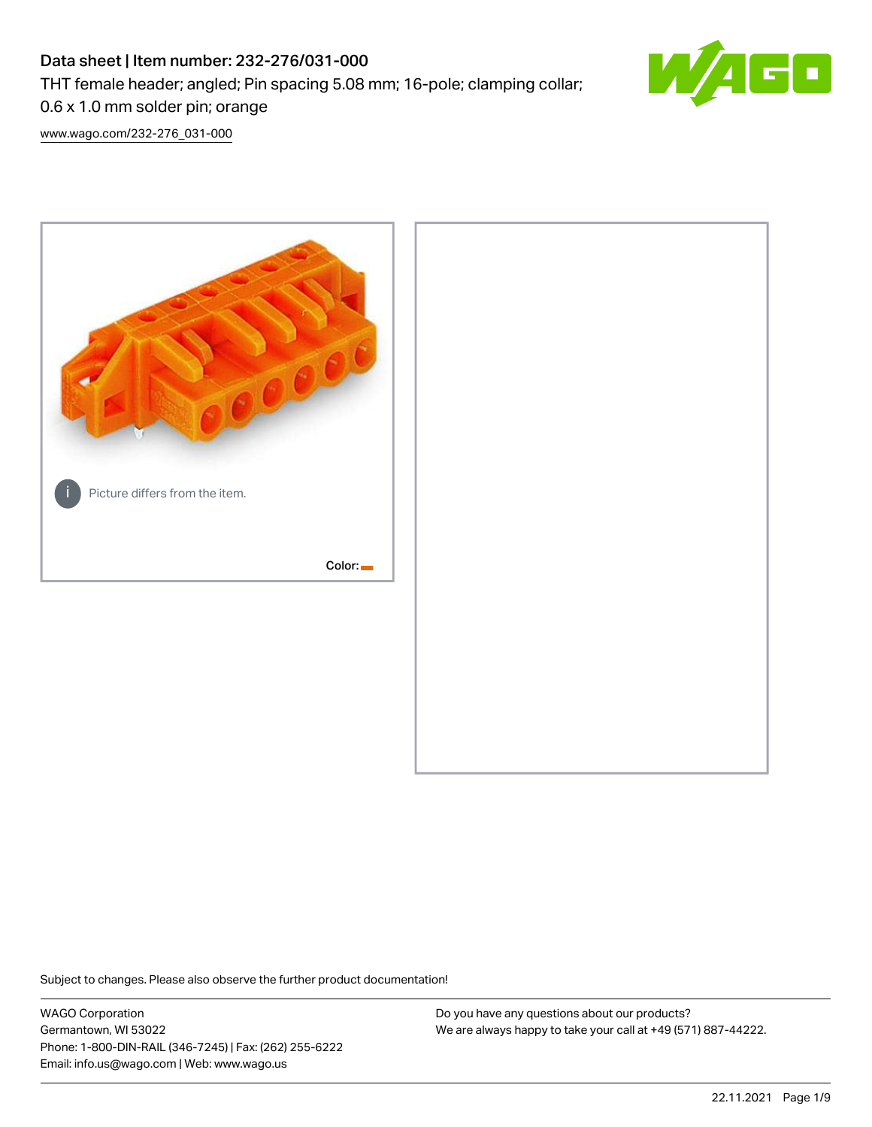# Data sheet | Item number: 232-276/031-000

THT female header; angled; Pin spacing 5.08 mm; 16-pole; clamping collar;



0.6 x 1.0 mm solder pin; orange

[www.wago.com/232-276\\_031-000](http://www.wago.com/232-276_031-000)



Subject to changes. Please also observe the further product documentation!

WAGO Corporation Germantown, WI 53022 Phone: 1-800-DIN-RAIL (346-7245) | Fax: (262) 255-6222 Email: info.us@wago.com | Web: www.wago.us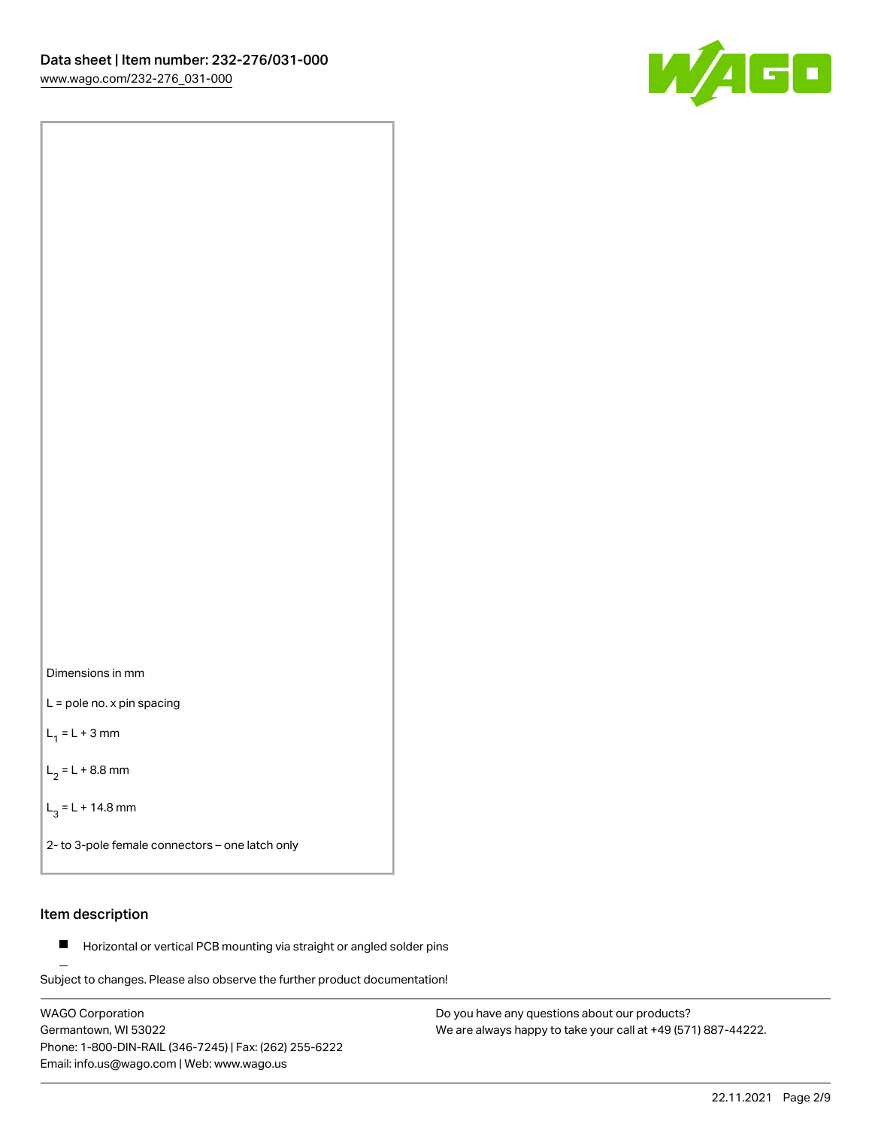

Dimensions in mm

L = pole no. x pin spacing

 $L_1 = L + 3$  mm

 $L_2 = L + 8.8$  mm

 $L_3 = L + 14.8$  mm

2- to 3-pole female connectors – one latch only

# Item description

**Horizontal or vertical PCB mounting via straight or angled solder pins** 

Subject to changes. Please also observe the further product documentation! For board-to-board and board-to-wire connections

WAGO Corporation Germantown, WI 53022 Phone: 1-800-DIN-RAIL (346-7245) | Fax: (262) 255-6222 Email: info.us@wago.com | Web: www.wago.us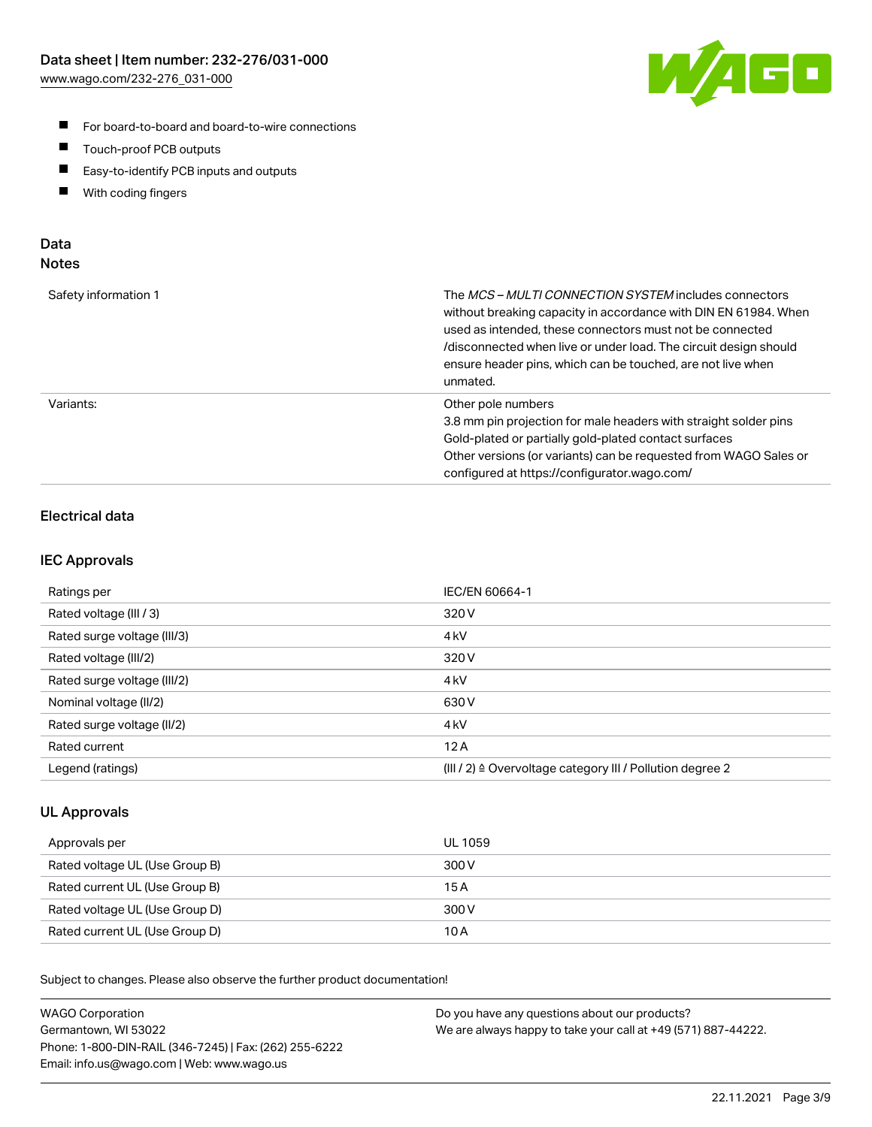

- For board-to-board and board-to-wire connections
- $\blacksquare$ Touch-proof PCB outputs
- $\blacksquare$ Easy-to-identify PCB inputs and outputs
- $\blacksquare$ With coding fingers

# Data **Notes**

| Safety information 1 | The <i>MCS – MULTI CONNECTION SYSTEM</i> includes connectors<br>without breaking capacity in accordance with DIN EN 61984. When<br>used as intended, these connectors must not be connected<br>/disconnected when live or under load. The circuit design should<br>ensure header pins, which can be touched, are not live when<br>unmated. |
|----------------------|--------------------------------------------------------------------------------------------------------------------------------------------------------------------------------------------------------------------------------------------------------------------------------------------------------------------------------------------|
| Variants:            | Other pole numbers<br>3.8 mm pin projection for male headers with straight solder pins<br>Gold-plated or partially gold-plated contact surfaces<br>Other versions (or variants) can be requested from WAGO Sales or<br>configured at https://configurator.wago.com/                                                                        |

# Electrical data

## IEC Approvals

| Ratings per                 | IEC/EN 60664-1                                                        |
|-----------------------------|-----------------------------------------------------------------------|
| Rated voltage (III / 3)     | 320 V                                                                 |
| Rated surge voltage (III/3) | 4 <sub>k</sub> V                                                      |
| Rated voltage (III/2)       | 320 V                                                                 |
| Rated surge voltage (III/2) | 4 <sub>k</sub> V                                                      |
| Nominal voltage (II/2)      | 630 V                                                                 |
| Rated surge voltage (II/2)  | 4 <sub>kV</sub>                                                       |
| Rated current               | 12A                                                                   |
| Legend (ratings)            | $(III / 2)$ $\triangle$ Overvoltage category III / Pollution degree 2 |

## UL Approvals

| Approvals per                  | UL 1059 |
|--------------------------------|---------|
| Rated voltage UL (Use Group B) | 300 V   |
| Rated current UL (Use Group B) | 15 A    |
| Rated voltage UL (Use Group D) | 300 V   |
| Rated current UL (Use Group D) | 10 A    |

Subject to changes. Please also observe the further product documentation!

| <b>WAGO Corporation</b>                                | Do you have any questions about our products?                 |
|--------------------------------------------------------|---------------------------------------------------------------|
| Germantown, WI 53022                                   | We are always happy to take your call at +49 (571) 887-44222. |
| Phone: 1-800-DIN-RAIL (346-7245)   Fax: (262) 255-6222 |                                                               |
| Email: info.us@wago.com   Web: www.wago.us             |                                                               |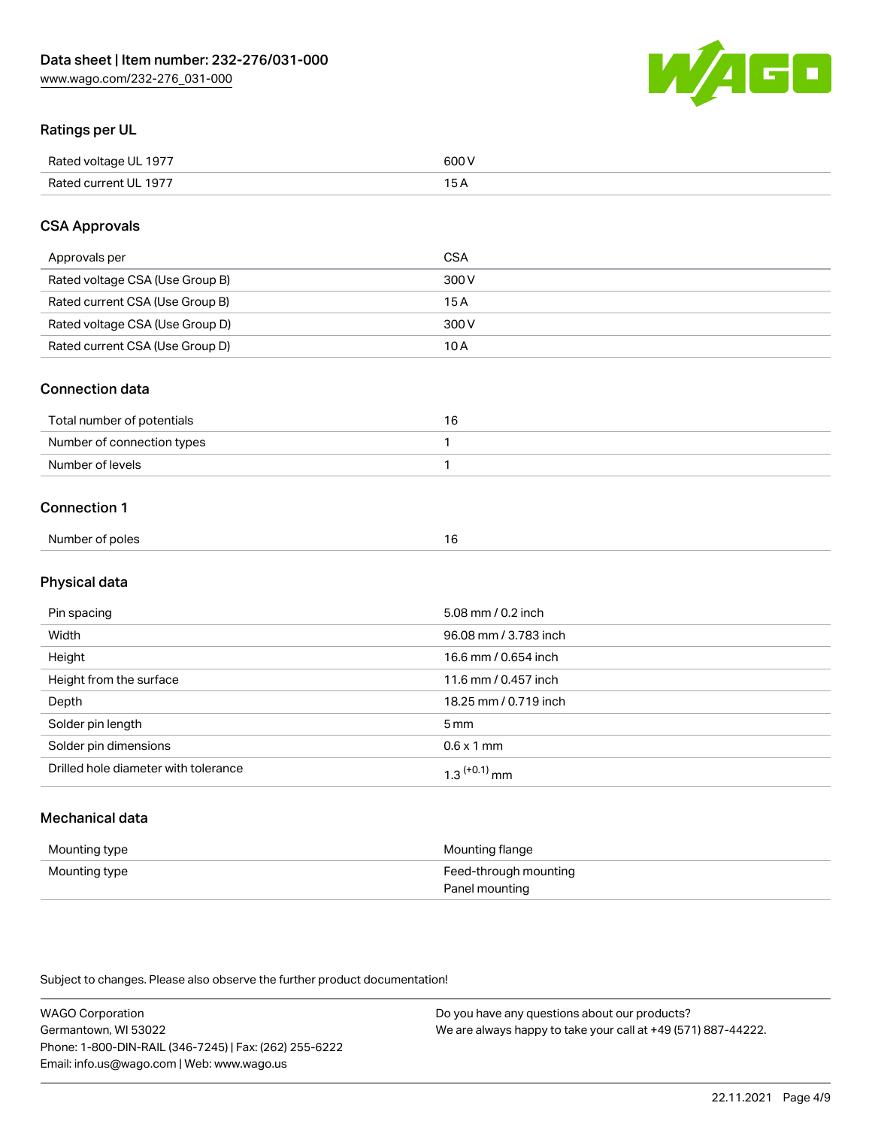

# Ratings per UL

| Rated voltage UL 1977                | COO V<br>ור |
|--------------------------------------|-------------|
| <b>Rated</b><br>UL 1977<br>curront l | _____       |

# CSA Approvals

| Approvals per                   | <b>CSA</b> |
|---------------------------------|------------|
| Rated voltage CSA (Use Group B) | 300 V      |
| Rated current CSA (Use Group B) | 15 A       |
| Rated voltage CSA (Use Group D) | 300 V      |
| Rated current CSA (Use Group D) | 10 A       |

### Connection data

| Total number of potentials |  |
|----------------------------|--|
| Number of connection types |  |
| Number of levels           |  |

### Connection 1

| Number of poles | 1 G |
|-----------------|-----|
|                 |     |

# Physical data

| Pin spacing                          | 5.08 mm / 0.2 inch    |
|--------------------------------------|-----------------------|
| Width                                | 96.08 mm / 3.783 inch |
| Height                               | 16.6 mm / 0.654 inch  |
| Height from the surface              | 11.6 mm / 0.457 inch  |
| Depth                                | 18.25 mm / 0.719 inch |
| Solder pin length                    | 5 <sub>mm</sub>       |
| Solder pin dimensions                | $0.6 \times 1$ mm     |
| Drilled hole diameter with tolerance | $1.3$ $(+0.1)$ mm     |

# Mechanical data

| Mounting type | Mounting flange                         |
|---------------|-----------------------------------------|
| Mounting type | Feed-through mounting<br>Panel mounting |

Subject to changes. Please also observe the further product documentation!

| <b>WAGO Corporation</b>                                | Do you have any questions about our products?                 |
|--------------------------------------------------------|---------------------------------------------------------------|
| Germantown, WI 53022                                   | We are always happy to take your call at +49 (571) 887-44222. |
| Phone: 1-800-DIN-RAIL (346-7245)   Fax: (262) 255-6222 |                                                               |
| Email: info.us@wago.com   Web: www.wago.us             |                                                               |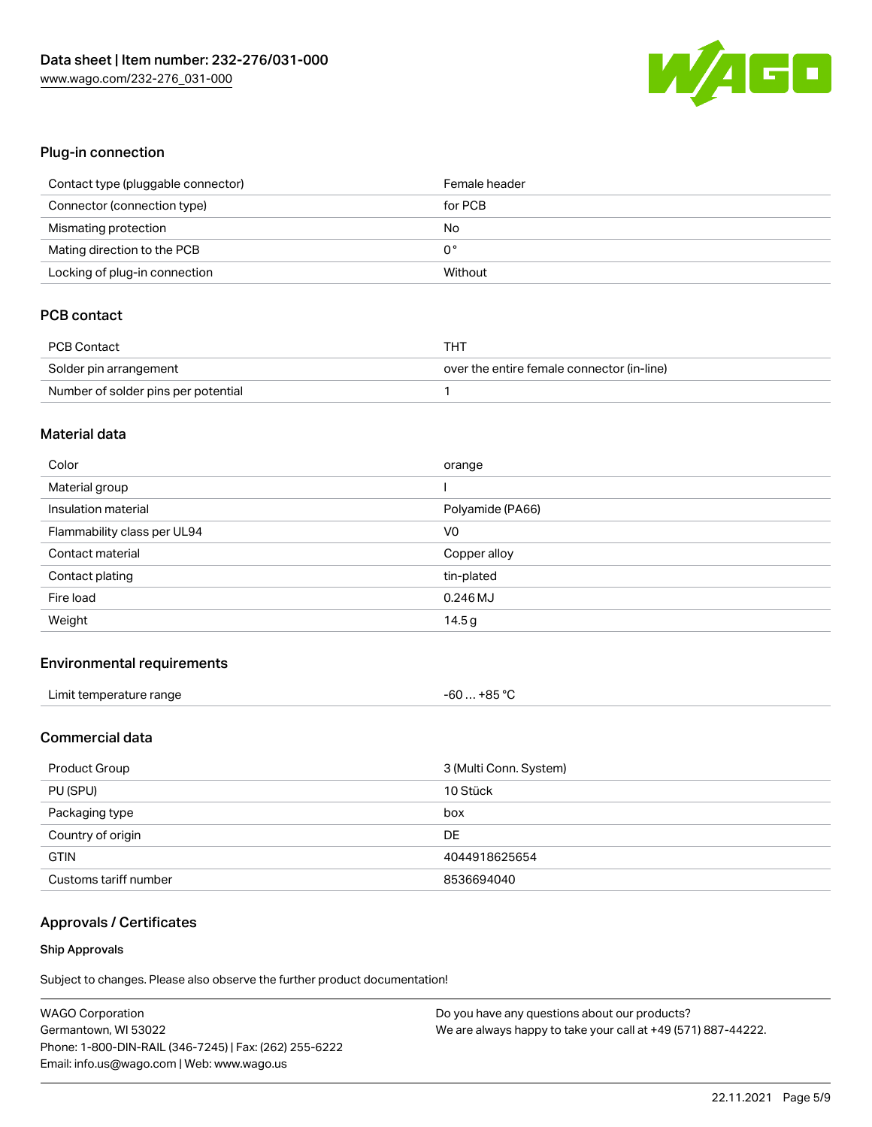

# Plug-in connection

| Contact type (pluggable connector) | Female header |
|------------------------------------|---------------|
| Connector (connection type)        | for PCB       |
| Mismating protection               | No            |
| Mating direction to the PCB        | 0°            |
| Locking of plug-in connection      | Without       |

# PCB contact

| PCB Contact                         | THT                                        |
|-------------------------------------|--------------------------------------------|
| Solder pin arrangement              | over the entire female connector (in-line) |
| Number of solder pins per potential |                                            |

#### Material data

| Color                       | orange           |
|-----------------------------|------------------|
| Material group              |                  |
| Insulation material         | Polyamide (PA66) |
| Flammability class per UL94 | V <sub>0</sub>   |
| Contact material            | Copper alloy     |
|                             |                  |
| Contact plating             | tin-plated       |
| Fire load                   | $0.246$ MJ       |

#### Environmental requirements

| Limit temperature range | $-60+85 °C$ |
|-------------------------|-------------|
|-------------------------|-------------|

# Commercial data

| Product Group         | 3 (Multi Conn. System) |
|-----------------------|------------------------|
| PU (SPU)              | 10 Stück               |
| Packaging type        | box                    |
| Country of origin     | DE                     |
| <b>GTIN</b>           | 4044918625654          |
| Customs tariff number | 8536694040             |

# Approvals / Certificates

#### Ship Approvals

Subject to changes. Please also observe the further product documentation!

| <b>WAGO Corporation</b>                                | Do you have any questions about our products?                 |
|--------------------------------------------------------|---------------------------------------------------------------|
| Germantown, WI 53022                                   | We are always happy to take your call at +49 (571) 887-44222. |
| Phone: 1-800-DIN-RAIL (346-7245)   Fax: (262) 255-6222 |                                                               |
| Email: info.us@wago.com   Web: www.wago.us             |                                                               |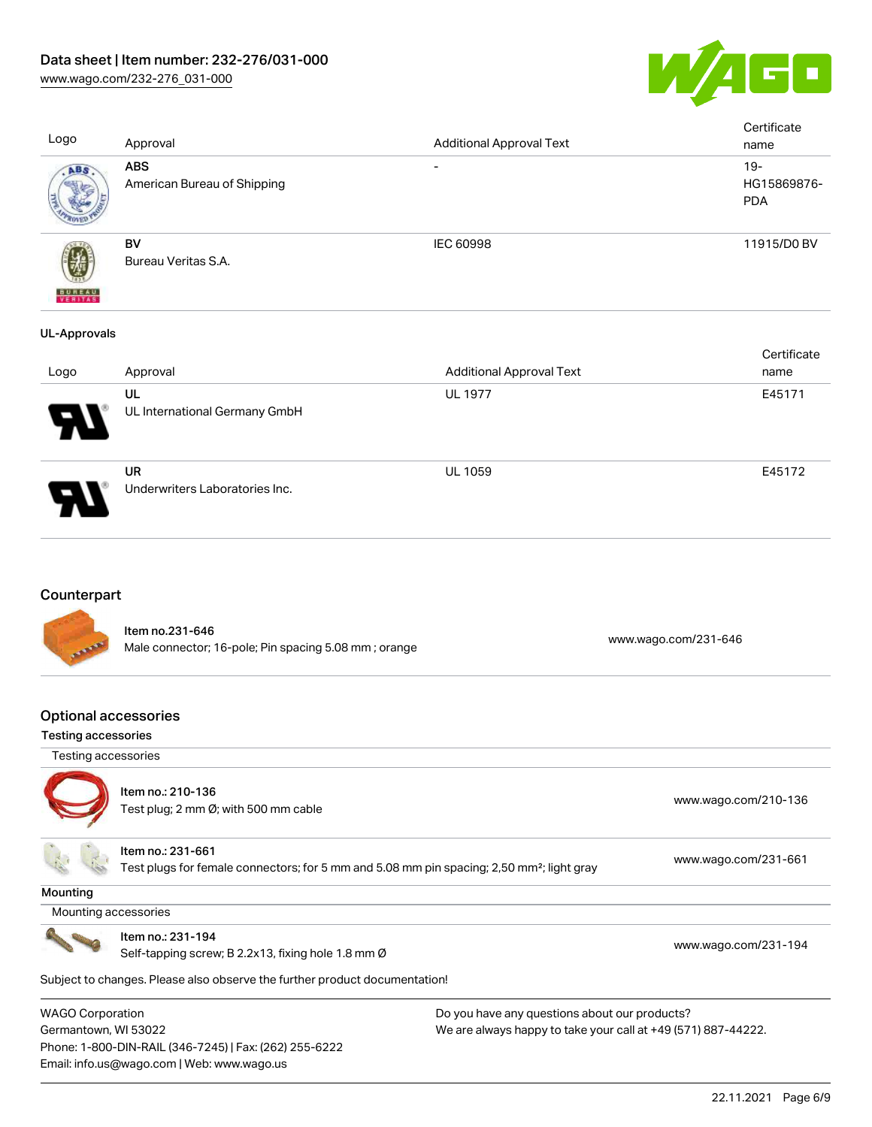

[www.wago.com/232-276\\_031-000](http://www.wago.com/232-276_031-000)

| Logo                | Approval                                    | <b>Additional Approval Text</b> | Certificate<br>name                 |
|---------------------|---------------------------------------------|---------------------------------|-------------------------------------|
| ABS                 | <b>ABS</b><br>American Bureau of Shipping   |                                 | $19 -$<br>HG15869876-<br><b>PDA</b> |
| <b>BUREAU</b>       | BV<br>Bureau Veritas S.A.                   | IEC 60998                       | 11915/D0 BV                         |
| <b>UL-Approvals</b> |                                             |                                 |                                     |
|                     | Approval                                    | <b>Additional Approval Text</b> | Certificate<br>name                 |
| Logo                |                                             |                                 |                                     |
|                     | <b>UL</b><br>UL International Germany GmbH  | <b>UL 1977</b>                  | E45171                              |
|                     | <b>UR</b><br>Underwriters Laboratories Inc. | <b>UL 1059</b>                  | E45172                              |

# **Counterpart**



Item no.231-646 Male connector; 16-pole; Pin spacing 5.08 mm ; orange [www.wago.com/231-646](https://www.wago.com/231-646)

### Optional accessories

#### Testing accessories

 Testing accessories Item no.: 210-136 Test plug; 2 nm Ø; with 500 nm cable [www.wago.com/210-136](http://www.wago.com/210-136)



**Mounting** 

Item no.: 231-661

Test plugs for female connectors; for 5 mm and 5.08 mm pin spacing; 2,50 mm²; light gray [www.wago.com/231-661](http://www.wago.com/231-661)

Mounting accessories



Item no.: 231-194

Self-tapping screw; B 2.2x13, fixing hole 1.8 mm Ø [www.wago.com/231-194](http://www.wago.com/231-194)

Subject to changes. Please also observe the further product documentation!

WAGO Corporation Germantown, WI 53022 Phone: 1-800-DIN-RAIL (346-7245) | Fax: (262) 255-6222 Email: info.us@wago.com | Web: www.wago.us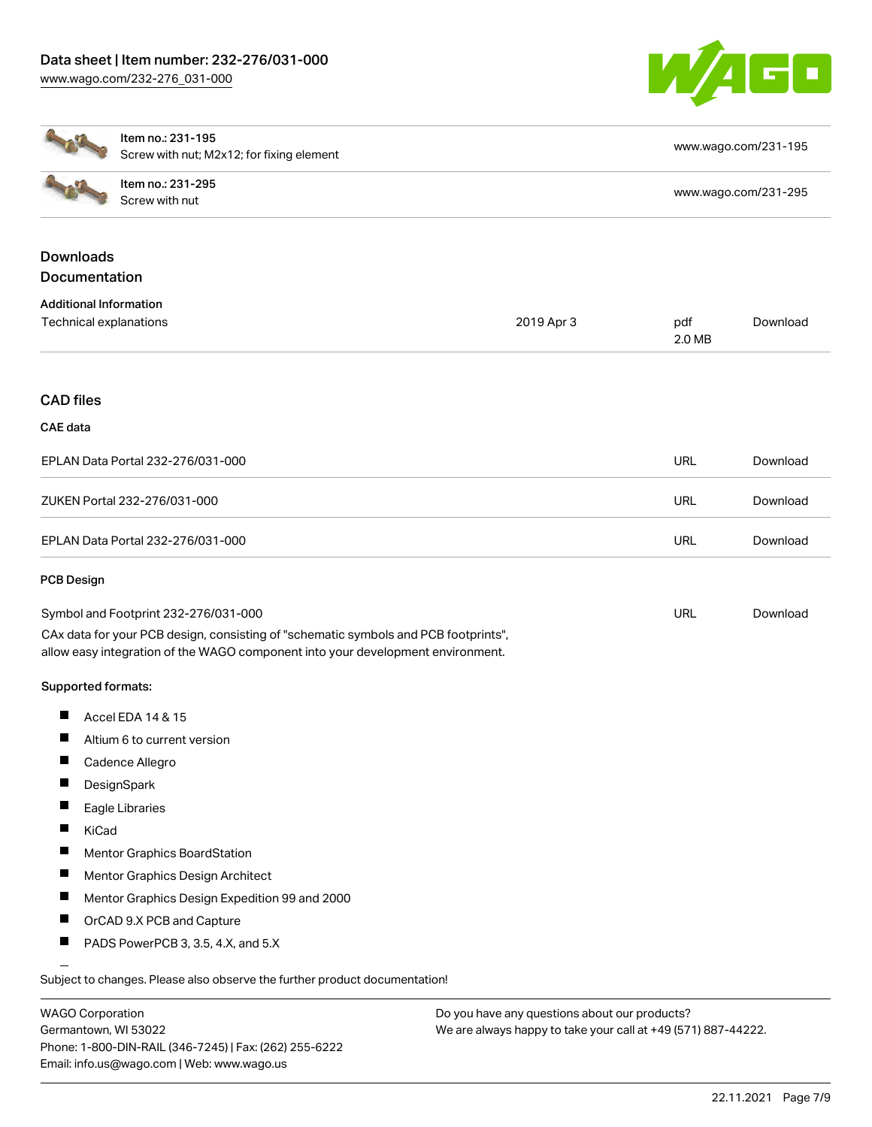

|                                                         | Item no.: 231-195<br>Screw with nut; M2x12; for fixing element                                                                                                         |            | www.wago.com/231-195 |          |  |
|---------------------------------------------------------|------------------------------------------------------------------------------------------------------------------------------------------------------------------------|------------|----------------------|----------|--|
|                                                         | Item no.: 231-295<br>Screw with nut                                                                                                                                    |            | www.wago.com/231-295 |          |  |
| <b>Downloads</b><br>Documentation                       |                                                                                                                                                                        |            |                      |          |  |
| <b>Additional Information</b><br>Technical explanations |                                                                                                                                                                        | 2019 Apr 3 | pdf<br>2.0 MB        | Download |  |
| <b>CAD files</b>                                        |                                                                                                                                                                        |            |                      |          |  |
| <b>CAE</b> data                                         |                                                                                                                                                                        |            |                      |          |  |
|                                                         | EPLAN Data Portal 232-276/031-000                                                                                                                                      |            | URL                  | Download |  |
|                                                         | ZUKEN Portal 232-276/031-000                                                                                                                                           |            | <b>URL</b>           | Download |  |
|                                                         | EPLAN Data Portal 232-276/031-000                                                                                                                                      |            | <b>URL</b>           | Download |  |
| <b>PCB Design</b>                                       |                                                                                                                                                                        |            |                      |          |  |
|                                                         | Symbol and Footprint 232-276/031-000                                                                                                                                   |            | <b>URL</b>           | Download |  |
|                                                         | CAx data for your PCB design, consisting of "schematic symbols and PCB footprints",<br>allow easy integration of the WAGO component into your development environment. |            |                      |          |  |
| Supported formats:                                      |                                                                                                                                                                        |            |                      |          |  |
| П                                                       | Accel EDA 14 & 15                                                                                                                                                      |            |                      |          |  |
|                                                         | Altium 6 to current version                                                                                                                                            |            |                      |          |  |
| щ                                                       | Cadence Allegro                                                                                                                                                        |            |                      |          |  |
| Ш                                                       | DesignSpark                                                                                                                                                            |            |                      |          |  |
| ш                                                       | Eagle Libraries                                                                                                                                                        |            |                      |          |  |
| KiCad                                                   |                                                                                                                                                                        |            |                      |          |  |
| П                                                       | <b>Mentor Graphics BoardStation</b>                                                                                                                                    |            |                      |          |  |
| ш                                                       | Mentor Graphics Design Architect                                                                                                                                       |            |                      |          |  |
|                                                         | Mentor Graphics Design Expedition 99 and 2000                                                                                                                          |            |                      |          |  |
| ш                                                       | OrCAD 9.X PCB and Capture                                                                                                                                              |            |                      |          |  |
| ш                                                       | PADS PowerPCB 3, 3.5, 4.X, and 5.X                                                                                                                                     |            |                      |          |  |
|                                                         | Subject to changes. Please also observe the further product documentation!                                                                                             |            |                      |          |  |

WAGO Corporation Germantown, WI 53022 Phone: 1-800-DIN-RAIL (346-7245) | Fax: (262) 255-6222 Email: info.us@wago.com | Web: www.wago.us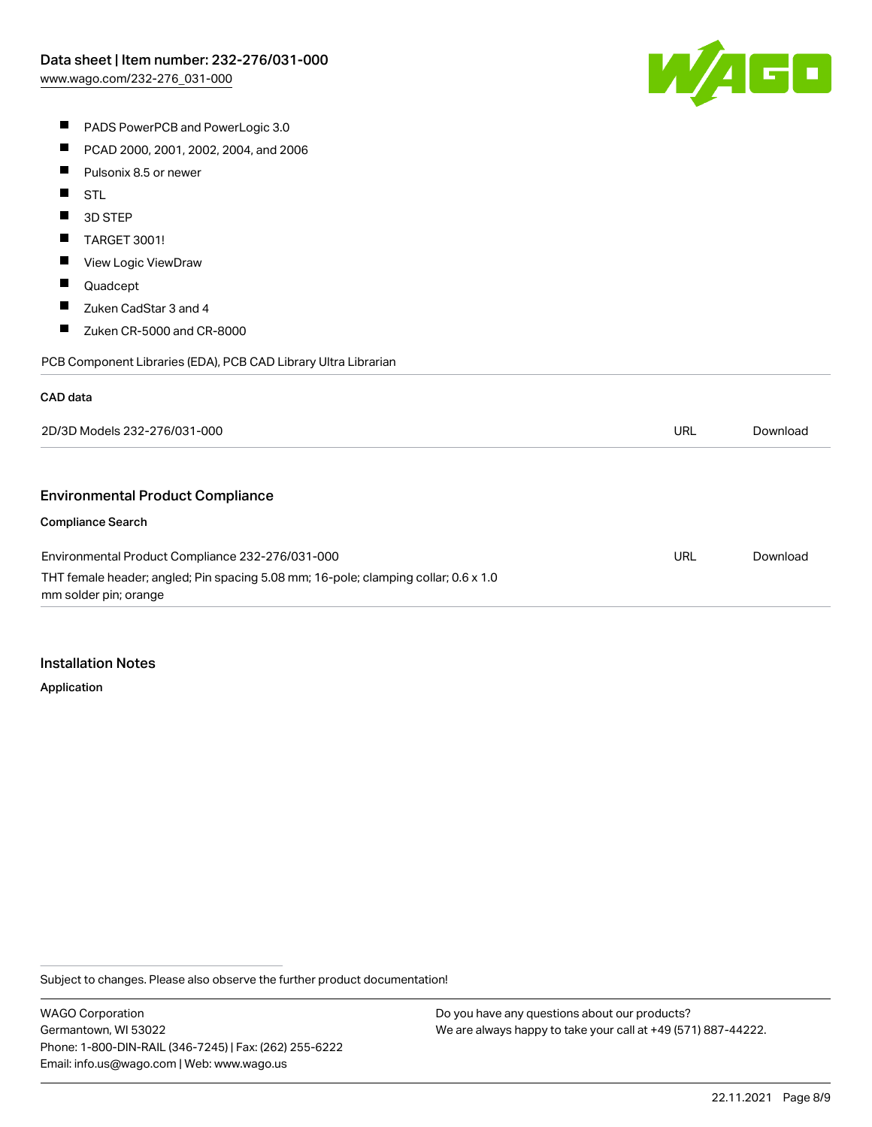

- **PADS PowerPCB and PowerLogic 3.0**
- $\blacksquare$ PCAD 2000, 2001, 2002, 2004, and 2006
- $\blacksquare$ Pulsonix 8.5 or newer
- $\blacksquare$ STL
- П 3D STEP
- $\blacksquare$ TARGET 3001!
- $\blacksquare$ View Logic ViewDraw
- $\blacksquare$ Quadcept
- $\blacksquare$ Zuken CadStar 3 and 4
- $\blacksquare$ Zuken CR-5000 and CR-8000

PCB Component Libraries (EDA), PCB CAD Library Ultra Librarian

#### CAD data

| 2D/3D Models 232-276/031-000                                                                                 | URL | Download |
|--------------------------------------------------------------------------------------------------------------|-----|----------|
|                                                                                                              |     |          |
| <b>Environmental Product Compliance</b>                                                                      |     |          |
| <b>Compliance Search</b>                                                                                     |     |          |
| Environmental Product Compliance 232-276/031-000                                                             | URL | Download |
| THT female header; angled; Pin spacing 5.08 mm; 16-pole; clamping collar; 0.6 x 1.0<br>mm solder pin; orange |     |          |

#### Installation Notes

Application

Subject to changes. Please also observe the further product documentation!

WAGO Corporation Germantown, WI 53022 Phone: 1-800-DIN-RAIL (346-7245) | Fax: (262) 255-6222 Email: info.us@wago.com | Web: www.wago.us